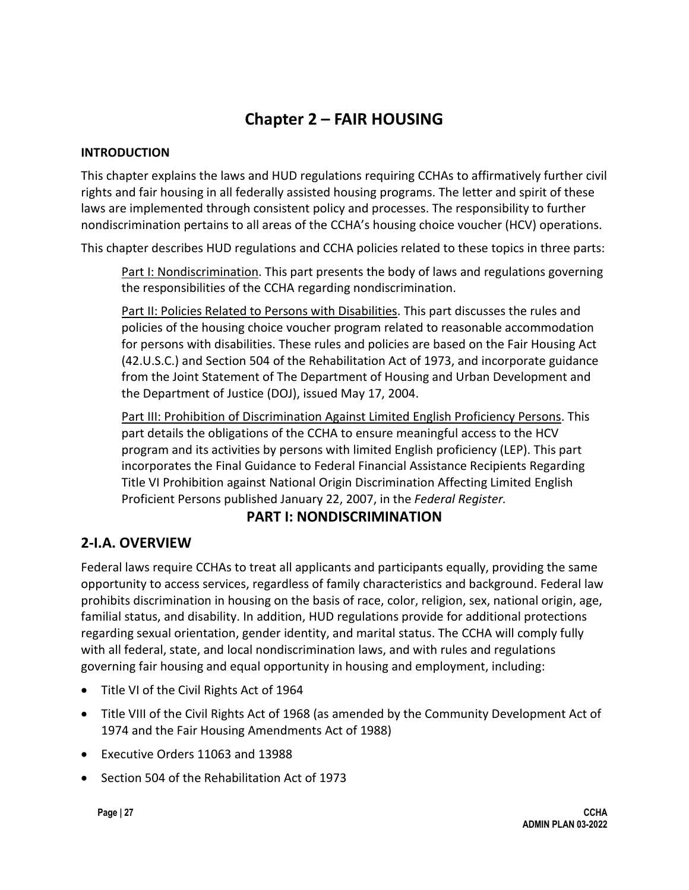# **Chapter 2 – FAIR HOUSING**

#### **INTRODUCTION**

This chapter explains the laws and HUD regulations requiring CCHAs to affirmatively further civil rights and fair housing in all federally assisted housing programs. The letter and spirit of these laws are implemented through consistent policy and processes. The responsibility to further nondiscrimination pertains to all areas of the CCHA's housing choice voucher (HCV) operations.

This chapter describes HUD regulations and CCHA policies related to these topics in three parts:

Part I: Nondiscrimination. This part presents the body of laws and regulations governing the responsibilities of the CCHA regarding nondiscrimination.

Part II: Policies Related to Persons with Disabilities. This part discusses the rules and policies of the housing choice voucher program related to reasonable accommodation for persons with disabilities. These rules and policies are based on the Fair Housing Act (42.U.S.C.) and Section 504 of the Rehabilitation Act of 1973, and incorporate guidance from the Joint Statement of The Department of Housing and Urban Development and the Department of Justice (DOJ), issued May 17, 2004.

Part III: Prohibition of Discrimination Against Limited English Proficiency Persons. This part details the obligations of the CCHA to ensure meaningful access to the HCV program and its activities by persons with limited English proficiency (LEP). This part incorporates the Final Guidance to Federal Financial Assistance Recipients Regarding Title VI Prohibition against National Origin Discrimination Affecting Limited English Proficient Persons published January 22, 2007, in the *Federal Register.*

#### **PART I: NONDISCRIMINATION**

#### **2-I.A. OVERVIEW**

Federal laws require CCHAs to treat all applicants and participants equally, providing the same opportunity to access services, regardless of family characteristics and background. Federal law prohibits discrimination in housing on the basis of race, color, religion, sex, national origin, age, familial status, and disability. In addition, HUD regulations provide for additional protections regarding sexual orientation, gender identity, and marital status. The CCHA will comply fully with all federal, state, and local nondiscrimination laws, and with rules and regulations governing fair housing and equal opportunity in housing and employment, including:

- Title VI of the Civil Rights Act of 1964
- Title VIII of the Civil Rights Act of 1968 (as amended by the Community Development Act of 1974 and the Fair Housing Amendments Act of 1988)
- Executive Orders 11063 and 13988
- Section 504 of the Rehabilitation Act of 1973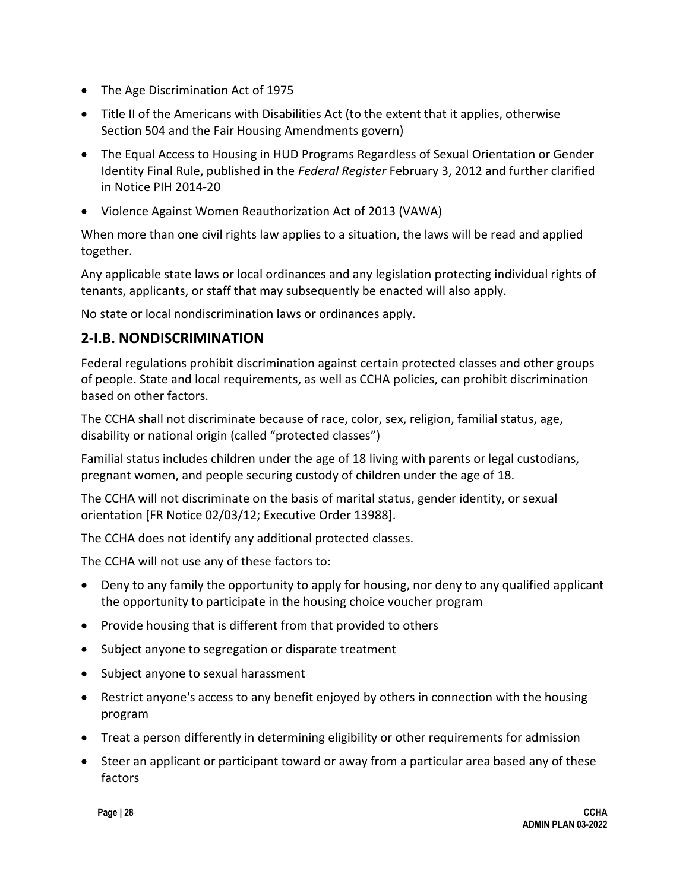- The Age Discrimination Act of 1975
- Title II of the Americans with Disabilities Act (to the extent that it applies, otherwise Section 504 and the Fair Housing Amendments govern)
- The Equal Access to Housing in HUD Programs Regardless of Sexual Orientation or Gender Identity Final Rule, published in the *Federal Register* February 3, 2012 and further clarified in Notice PIH 2014-20
- Violence Against Women Reauthorization Act of 2013 (VAWA)

When more than one civil rights law applies to a situation, the laws will be read and applied together.

Any applicable state laws or local ordinances and any legislation protecting individual rights of tenants, applicants, or staff that may subsequently be enacted will also apply.

No state or local nondiscrimination laws or ordinances apply.

### **2-I.B. NONDISCRIMINATION**

Federal regulations prohibit discrimination against certain protected classes and other groups of people. State and local requirements, as well as CCHA policies, can prohibit discrimination based on other factors.

The CCHA shall not discriminate because of race, color, sex, religion, familial status, age, disability or national origin (called "protected classes")

Familial status includes children under the age of 18 living with parents or legal custodians, pregnant women, and people securing custody of children under the age of 18.

The CCHA will not discriminate on the basis of marital status, gender identity, or sexual orientation [FR Notice 02/03/12; Executive Order 13988].

The CCHA does not identify any additional protected classes.

The CCHA will not use any of these factors to:

- Deny to any family the opportunity to apply for housing, nor deny to any qualified applicant the opportunity to participate in the housing choice voucher program
- Provide housing that is different from that provided to others
- Subject anyone to segregation or disparate treatment
- Subject anyone to sexual harassment
- Restrict anyone's access to any benefit enjoyed by others in connection with the housing program
- Treat a person differently in determining eligibility or other requirements for admission
- Steer an applicant or participant toward or away from a particular area based any of these factors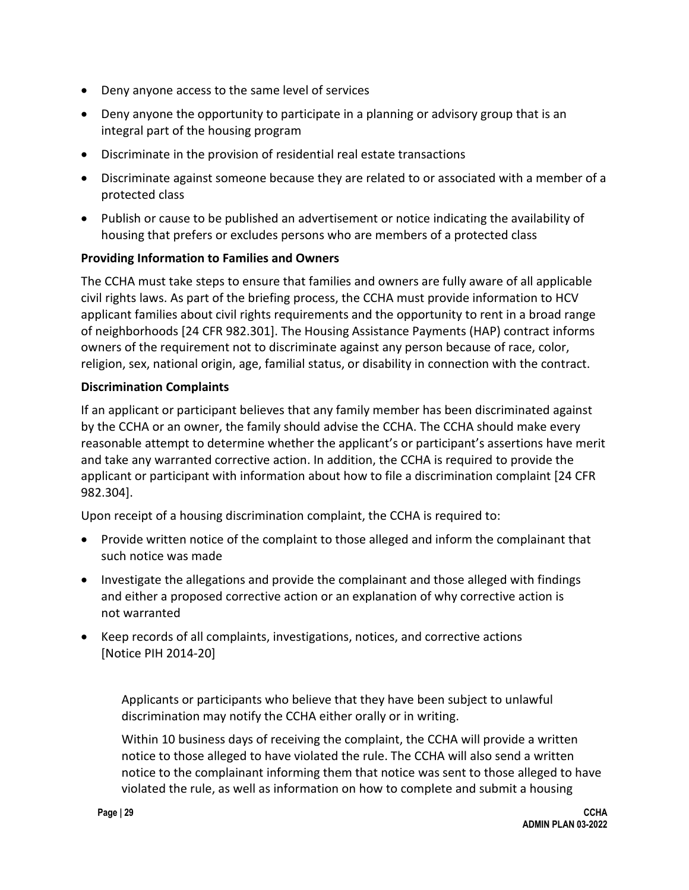- Deny anyone access to the same level of services
- Deny anyone the opportunity to participate in a planning or advisory group that is an integral part of the housing program
- Discriminate in the provision of residential real estate transactions
- Discriminate against someone because they are related to or associated with a member of a protected class
- Publish or cause to be published an advertisement or notice indicating the availability of housing that prefers or excludes persons who are members of a protected class

#### **Providing Information to Families and Owners**

The CCHA must take steps to ensure that families and owners are fully aware of all applicable civil rights laws. As part of the briefing process, the CCHA must provide information to HCV applicant families about civil rights requirements and the opportunity to rent in a broad range of neighborhoods [24 CFR 982.301]. The Housing Assistance Payments (HAP) contract informs owners of the requirement not to discriminate against any person because of race, color, religion, sex, national origin, age, familial status, or disability in connection with the contract.

#### **Discrimination Complaints**

If an applicant or participant believes that any family member has been discriminated against by the CCHA or an owner, the family should advise the CCHA. The CCHA should make every reasonable attempt to determine whether the applicant's or participant's assertions have merit and take any warranted corrective action. In addition, the CCHA is required to provide the applicant or participant with information about how to file a discrimination complaint [24 CFR 982.304].

Upon receipt of a housing discrimination complaint, the CCHA is required to:

- Provide written notice of the complaint to those alleged and inform the complainant that such notice was made
- Investigate the allegations and provide the complainant and those alleged with findings and either a proposed corrective action or an explanation of why corrective action is not warranted
- Keep records of all complaints, investigations, notices, and corrective actions [Notice PIH 2014-20]

Applicants or participants who believe that they have been subject to unlawful discrimination may notify the CCHA either orally or in writing.

Within 10 business days of receiving the complaint, the CCHA will provide a written notice to those alleged to have violated the rule. The CCHA will also send a written notice to the complainant informing them that notice was sent to those alleged to have violated the rule, as well as information on how to complete and submit a housing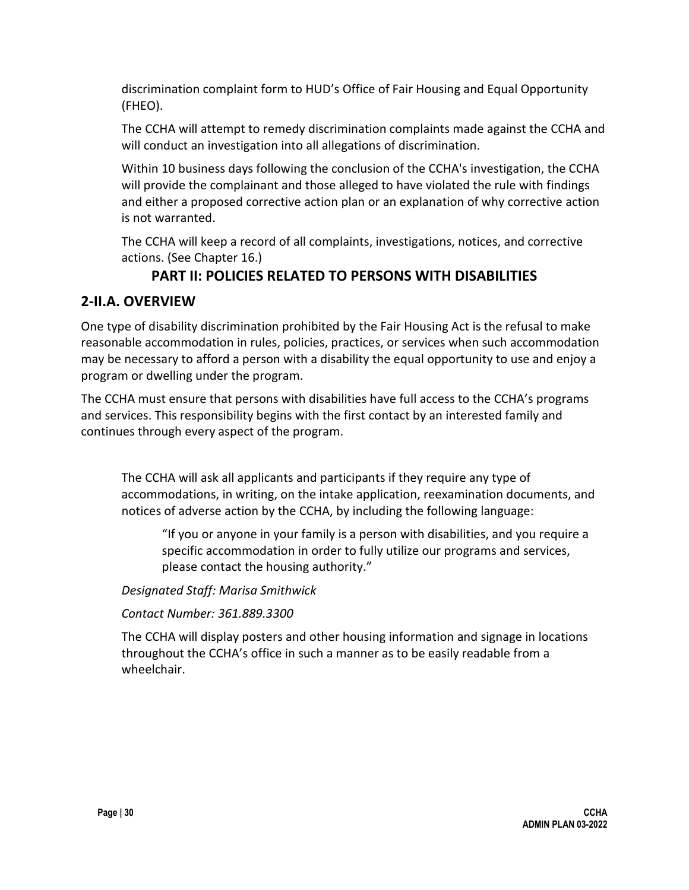discrimination complaint form to HUD's Office of Fair Housing and Equal Opportunity (FHEO).

The CCHA will attempt to remedy discrimination complaints made against the CCHA and will conduct an investigation into all allegations of discrimination.

Within 10 business days following the conclusion of the CCHA's investigation, the CCHA will provide the complainant and those alleged to have violated the rule with findings and either a proposed corrective action plan or an explanation of why corrective action is not warranted.

The CCHA will keep a record of all complaints, investigations, notices, and corrective actions. (See Chapter 16.)

### **PART II: POLICIES RELATED TO PERSONS WITH DISABILITIES**

#### **2-II.A. OVERVIEW**

One type of disability discrimination prohibited by the Fair Housing Act is the refusal to make reasonable accommodation in rules, policies, practices, or services when such accommodation may be necessary to afford a person with a disability the equal opportunity to use and enjoy a program or dwelling under the program.

The CCHA must ensure that persons with disabilities have full access to the CCHA's programs and services. This responsibility begins with the first contact by an interested family and continues through every aspect of the program.

The CCHA will ask all applicants and participants if they require any type of accommodations, in writing, on the intake application, reexamination documents, and notices of adverse action by the CCHA, by including the following language:

"If you or anyone in your family is a person with disabilities, and you require a specific accommodation in order to fully utilize our programs and services, please contact the housing authority."

*Designated Staff: Marisa Smithwick*

*Contact Number: 361.889.3300*

The CCHA will display posters and other housing information and signage in locations throughout the CCHA's office in such a manner as to be easily readable from a wheelchair.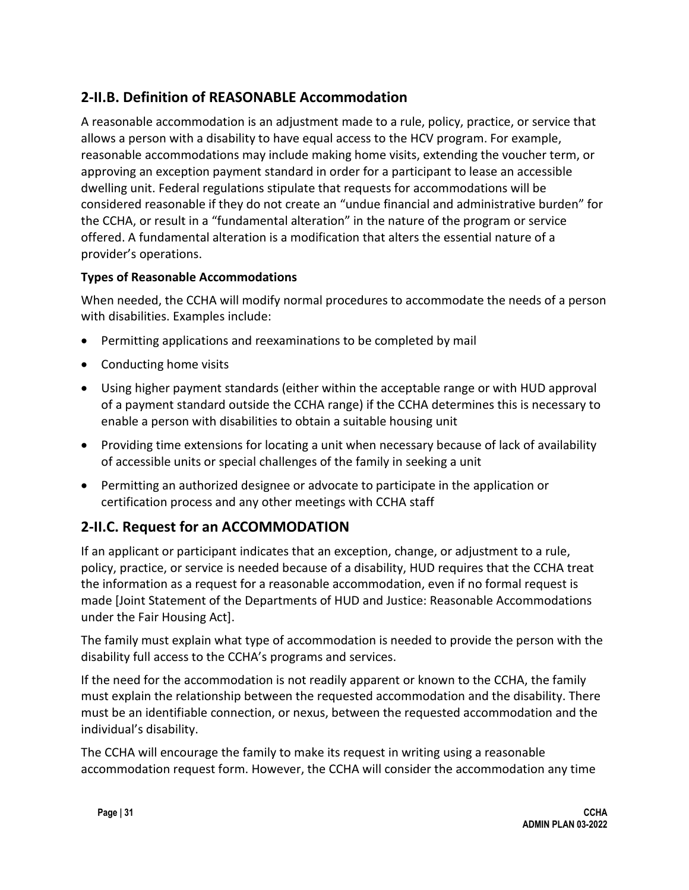### **2-II.B. Definition of REASONABLE Accommodation**

A reasonable accommodation is an adjustment made to a rule, policy, practice, or service that allows a person with a disability to have equal access to the HCV program. For example, reasonable accommodations may include making home visits, extending the voucher term, or approving an exception payment standard in order for a participant to lease an accessible dwelling unit. Federal regulations stipulate that requests for accommodations will be considered reasonable if they do not create an "undue financial and administrative burden" for the CCHA, or result in a "fundamental alteration" in the nature of the program or service offered. A fundamental alteration is a modification that alters the essential nature of a provider's operations.

#### **Types of Reasonable Accommodations**

When needed, the CCHA will modify normal procedures to accommodate the needs of a person with disabilities. Examples include:

- Permitting applications and reexaminations to be completed by mail
- Conducting home visits
- Using higher payment standards (either within the acceptable range or with HUD approval of a payment standard outside the CCHA range) if the CCHA determines this is necessary to enable a person with disabilities to obtain a suitable housing unit
- Providing time extensions for locating a unit when necessary because of lack of availability of accessible units or special challenges of the family in seeking a unit
- Permitting an authorized designee or advocate to participate in the application or certification process and any other meetings with CCHA staff

### **2-II.C. Request for an ACCOMMODATION**

If an applicant or participant indicates that an exception, change, or adjustment to a rule, policy, practice, or service is needed because of a disability, HUD requires that the CCHA treat the information as a request for a reasonable accommodation, even if no formal request is made [Joint Statement of the Departments of HUD and Justice: Reasonable Accommodations under the Fair Housing Act].

The family must explain what type of accommodation is needed to provide the person with the disability full access to the CCHA's programs and services.

If the need for the accommodation is not readily apparent or known to the CCHA, the family must explain the relationship between the requested accommodation and the disability. There must be an identifiable connection, or nexus, between the requested accommodation and the individual's disability.

The CCHA will encourage the family to make its request in writing using a reasonable accommodation request form. However, the CCHA will consider the accommodation any time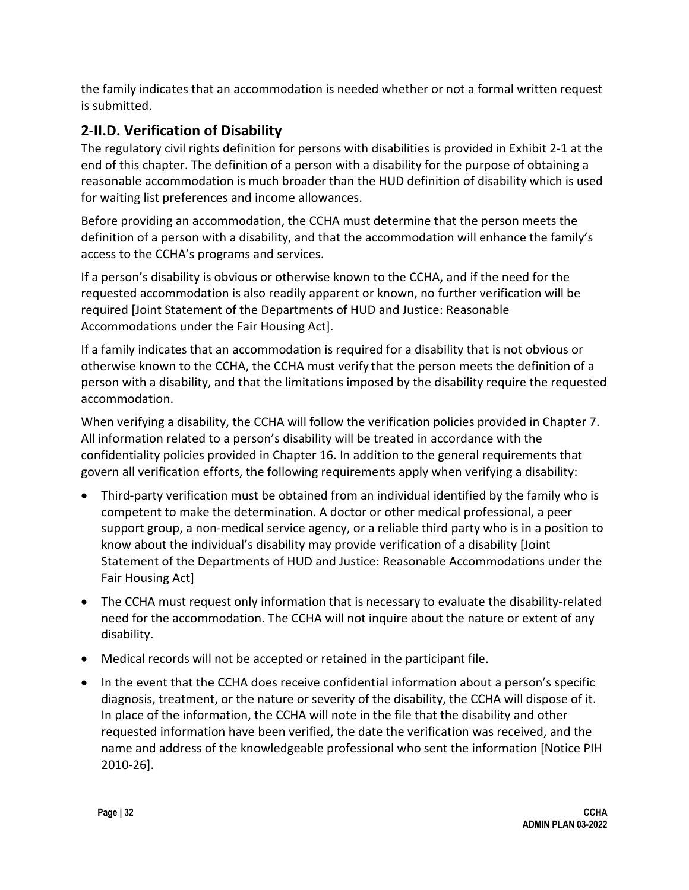the family indicates that an accommodation is needed whether or not a formal written request is submitted.

### **2-II.D. Verification of Disability**

The regulatory civil rights definition for persons with disabilities is provided in Exhibit 2-1 at the end of this chapter. The definition of a person with a disability for the purpose of obtaining a reasonable accommodation is much broader than the HUD definition of disability which is used for waiting list preferences and income allowances.

Before providing an accommodation, the CCHA must determine that the person meets the definition of a person with a disability, and that the accommodation will enhance the family's access to the CCHA's programs and services.

If a person's disability is obvious or otherwise known to the CCHA, and if the need for the requested accommodation is also readily apparent or known, no further verification will be required [Joint Statement of the Departments of HUD and Justice: Reasonable Accommodations under the Fair Housing Act].

If a family indicates that an accommodation is required for a disability that is not obvious or otherwise known to the CCHA, the CCHA must verify that the person meets the definition of a person with a disability, and that the limitations imposed by the disability require the requested accommodation.

When verifying a disability, the CCHA will follow the verification policies provided in Chapter 7. All information related to a person's disability will be treated in accordance with the confidentiality policies provided in Chapter 16. In addition to the general requirements that govern all verification efforts, the following requirements apply when verifying a disability:

- Third-party verification must be obtained from an individual identified by the family who is competent to make the determination. A doctor or other medical professional, a peer support group, a non-medical service agency, or a reliable third party who is in a position to know about the individual's disability may provide verification of a disability [Joint Statement of the Departments of HUD and Justice: Reasonable Accommodations under the Fair Housing Act]
- The CCHA must request only information that is necessary to evaluate the disability-related need for the accommodation. The CCHA will not inquire about the nature or extent of any disability.
- Medical records will not be accepted or retained in the participant file.
- In the event that the CCHA does receive confidential information about a person's specific diagnosis, treatment, or the nature or severity of the disability, the CCHA will dispose of it. In place of the information, the CCHA will note in the file that the disability and other requested information have been verified, the date the verification was received, and the name and address of the knowledgeable professional who sent the information [Notice PIH 2010-26].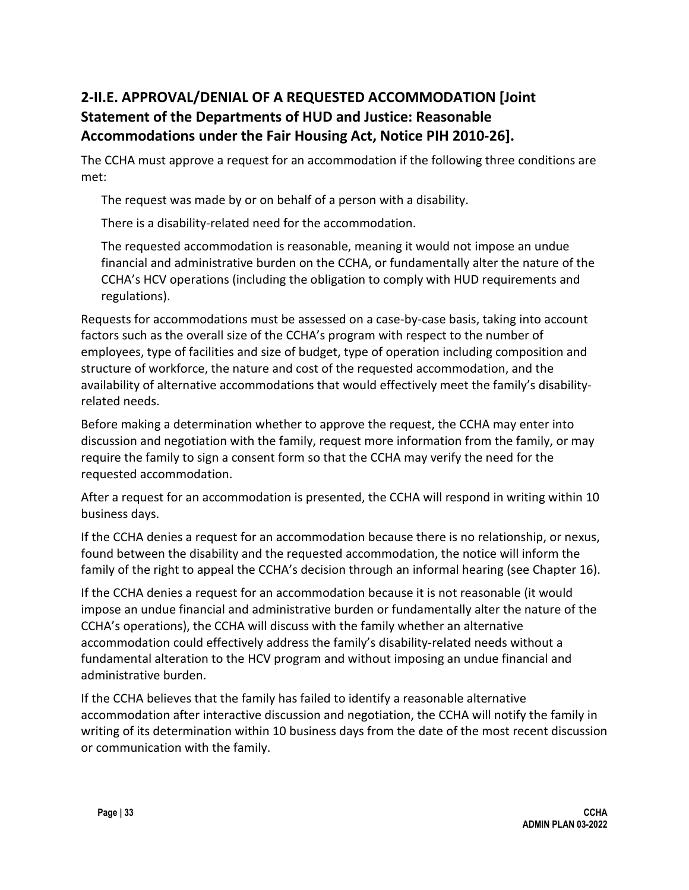## **2-II.E. APPROVAL/DENIAL OF A REQUESTED ACCOMMODATION [Joint Statement of the Departments of HUD and Justice: Reasonable Accommodations under the Fair Housing Act, Notice PIH 2010-26].**

The CCHA must approve a request for an accommodation if the following three conditions are met:

The request was made by or on behalf of a person with a disability.

There is a disability-related need for the accommodation.

The requested accommodation is reasonable, meaning it would not impose an undue financial and administrative burden on the CCHA, or fundamentally alter the nature of the CCHA's HCV operations (including the obligation to comply with HUD requirements and regulations).

Requests for accommodations must be assessed on a case-by-case basis, taking into account factors such as the overall size of the CCHA's program with respect to the number of employees, type of facilities and size of budget, type of operation including composition and structure of workforce, the nature and cost of the requested accommodation, and the availability of alternative accommodations that would effectively meet the family's disabilityrelated needs.

Before making a determination whether to approve the request, the CCHA may enter into discussion and negotiation with the family, request more information from the family, or may require the family to sign a consent form so that the CCHA may verify the need for the requested accommodation.

After a request for an accommodation is presented, the CCHA will respond in writing within 10 business days.

If the CCHA denies a request for an accommodation because there is no relationship, or nexus, found between the disability and the requested accommodation, the notice will inform the family of the right to appeal the CCHA's decision through an informal hearing (see Chapter 16).

If the CCHA denies a request for an accommodation because it is not reasonable (it would impose an undue financial and administrative burden or fundamentally alter the nature of the CCHA's operations), the CCHA will discuss with the family whether an alternative accommodation could effectively address the family's disability-related needs without a fundamental alteration to the HCV program and without imposing an undue financial and administrative burden.

If the CCHA believes that the family has failed to identify a reasonable alternative accommodation after interactive discussion and negotiation, the CCHA will notify the family in writing of its determination within 10 business days from the date of the most recent discussion or communication with the family.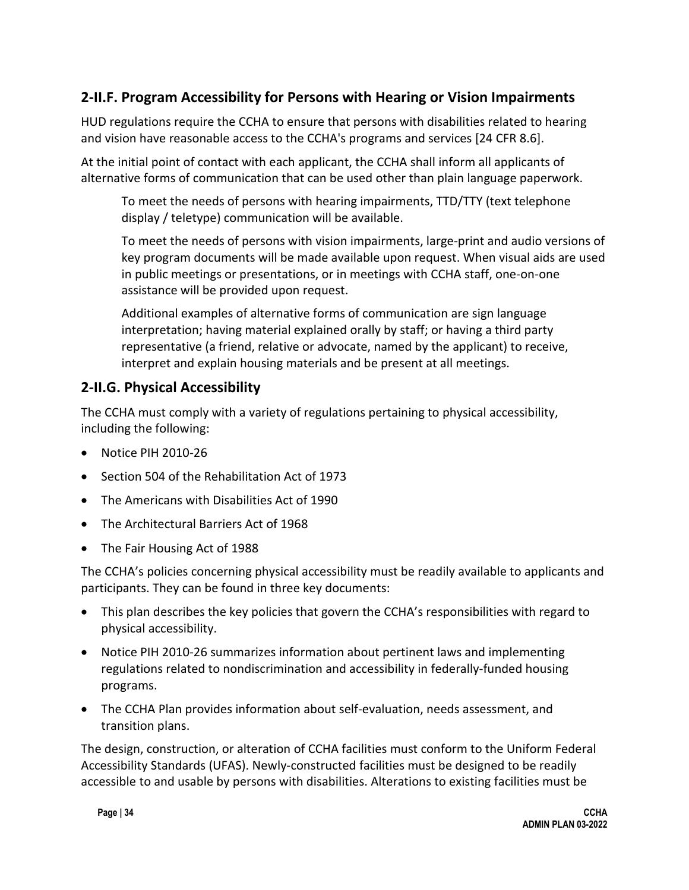### **2-II.F. Program Accessibility for Persons with Hearing or Vision Impairments**

HUD regulations require the CCHA to ensure that persons with disabilities related to hearing and vision have reasonable access to the CCHA's programs and services [24 CFR 8.6].

At the initial point of contact with each applicant, the CCHA shall inform all applicants of alternative forms of communication that can be used other than plain language paperwork.

To meet the needs of persons with hearing impairments, TTD/TTY (text telephone display / teletype) communication will be available.

To meet the needs of persons with vision impairments, large-print and audio versions of key program documents will be made available upon request. When visual aids are used in public meetings or presentations, or in meetings with CCHA staff, one-on-one assistance will be provided upon request.

Additional examples of alternative forms of communication are sign language interpretation; having material explained orally by staff; or having a third party representative (a friend, relative or advocate, named by the applicant) to receive, interpret and explain housing materials and be present at all meetings.

#### **2-II.G. Physical Accessibility**

The CCHA must comply with a variety of regulations pertaining to physical accessibility, including the following:

- Notice PIH 2010-26
- Section 504 of the Rehabilitation Act of 1973
- The Americans with Disabilities Act of 1990
- The Architectural Barriers Act of 1968
- The Fair Housing Act of 1988

The CCHA's policies concerning physical accessibility must be readily available to applicants and participants. They can be found in three key documents:

- This plan describes the key policies that govern the CCHA's responsibilities with regard to physical accessibility.
- Notice PIH 2010-26 summarizes information about pertinent laws and implementing regulations related to nondiscrimination and accessibility in federally-funded housing programs.
- The CCHA Plan provides information about self-evaluation, needs assessment, and transition plans.

The design, construction, or alteration of CCHA facilities must conform to the Uniform Federal Accessibility Standards (UFAS). Newly-constructed facilities must be designed to be readily accessible to and usable by persons with disabilities. Alterations to existing facilities must be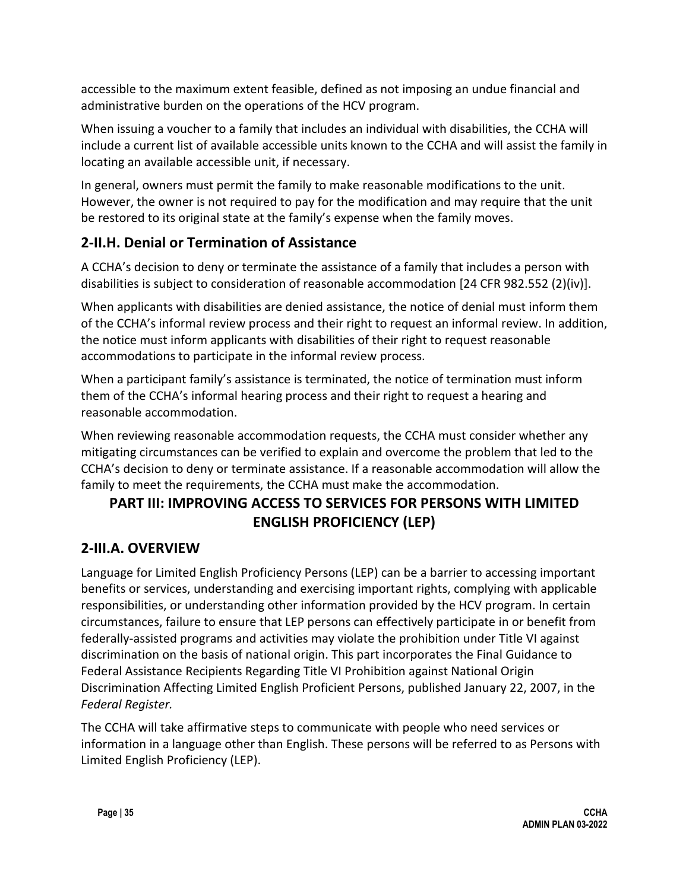accessible to the maximum extent feasible, defined as not imposing an undue financial and administrative burden on the operations of the HCV program.

When issuing a voucher to a family that includes an individual with disabilities, the CCHA will include a current list of available accessible units known to the CCHA and will assist the family in locating an available accessible unit, if necessary.

In general, owners must permit the family to make reasonable modifications to the unit. However, the owner is not required to pay for the modification and may require that the unit be restored to its original state at the family's expense when the family moves.

### **2-II.H. Denial or Termination of Assistance**

A CCHA's decision to deny or terminate the assistance of a family that includes a person with disabilities is subject to consideration of reasonable accommodation [24 CFR 982.552 (2)(iv)].

When applicants with disabilities are denied assistance, the notice of denial must inform them of the CCHA's informal review process and their right to request an informal review. In addition, the notice must inform applicants with disabilities of their right to request reasonable accommodations to participate in the informal review process.

When a participant family's assistance is terminated, the notice of termination must inform them of the CCHA's informal hearing process and their right to request a hearing and reasonable accommodation.

When reviewing reasonable accommodation requests, the CCHA must consider whether any mitigating circumstances can be verified to explain and overcome the problem that led to the CCHA's decision to deny or terminate assistance. If a reasonable accommodation will allow the family to meet the requirements, the CCHA must make the accommodation.

# **PART III: IMPROVING ACCESS TO SERVICES FOR PERSONS WITH LIMITED ENGLISH PROFICIENCY (LEP)**

### **2-III.A. OVERVIEW**

Language for Limited English Proficiency Persons (LEP) can be a barrier to accessing important benefits or services, understanding and exercising important rights, complying with applicable responsibilities, or understanding other information provided by the HCV program. In certain circumstances, failure to ensure that LEP persons can effectively participate in or benefit from federally-assisted programs and activities may violate the prohibition under Title VI against discrimination on the basis of national origin. This part incorporates the Final Guidance to Federal Assistance Recipients Regarding Title VI Prohibition against National Origin Discrimination Affecting Limited English Proficient Persons, published January 22, 2007, in the *Federal Register.*

The CCHA will take affirmative steps to communicate with people who need services or information in a language other than English. These persons will be referred to as Persons with Limited English Proficiency (LEP).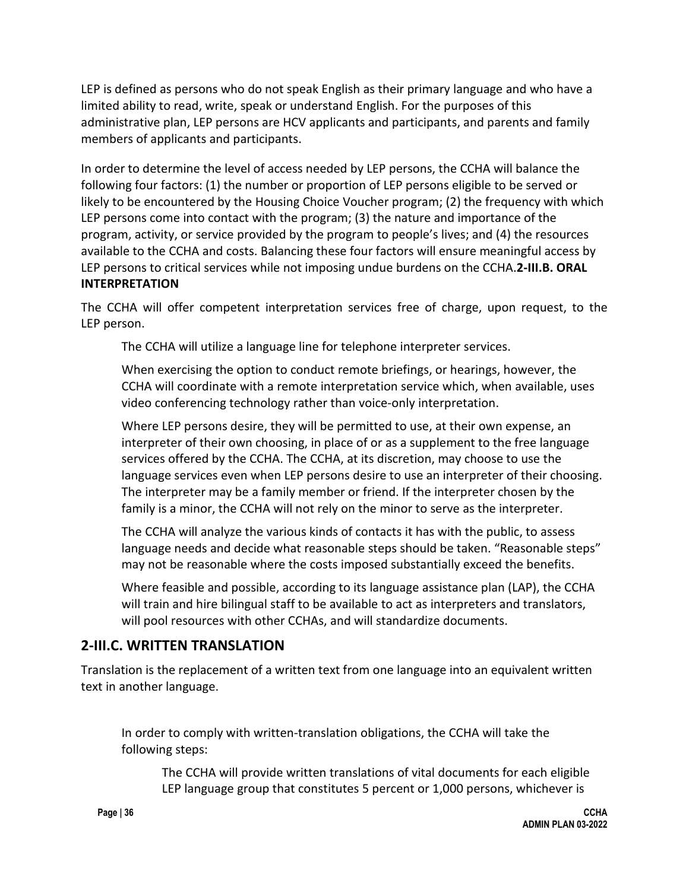LEP is defined as persons who do not speak English as their primary language and who have a limited ability to read, write, speak or understand English. For the purposes of this administrative plan, LEP persons are HCV applicants and participants, and parents and family members of applicants and participants.

In order to determine the level of access needed by LEP persons, the CCHA will balance the following four factors: (1) the number or proportion of LEP persons eligible to be served or likely to be encountered by the Housing Choice Voucher program; (2) the frequency with which LEP persons come into contact with the program; (3) the nature and importance of the program, activity, or service provided by the program to people's lives; and (4) the resources available to the CCHA and costs. Balancing these four factors will ensure meaningful access by LEP persons to critical services while not imposing undue burdens on the CCHA.**2-III.B. ORAL INTERPRETATION**

The CCHA will offer competent interpretation services free of charge, upon request, to the LEP person.

The CCHA will utilize a language line for telephone interpreter services.

When exercising the option to conduct remote briefings, or hearings, however, the CCHA will coordinate with a remote interpretation service which, when available, uses video conferencing technology rather than voice-only interpretation.

Where LEP persons desire, they will be permitted to use, at their own expense, an interpreter of their own choosing, in place of or as a supplement to the free language services offered by the CCHA. The CCHA, at its discretion, may choose to use the language services even when LEP persons desire to use an interpreter of their choosing. The interpreter may be a family member or friend. If the interpreter chosen by the family is a minor, the CCHA will not rely on the minor to serve as the interpreter.

The CCHA will analyze the various kinds of contacts it has with the public, to assess language needs and decide what reasonable steps should be taken. "Reasonable steps" may not be reasonable where the costs imposed substantially exceed the benefits.

Where feasible and possible, according to its language assistance plan (LAP), the CCHA will train and hire bilingual staff to be available to act as interpreters and translators, will pool resources with other CCHAs, and will standardize documents.

#### **2-III.C. WRITTEN TRANSLATION**

Translation is the replacement of a written text from one language into an equivalent written text in another language.

In order to comply with written-translation obligations, the CCHA will take the following steps:

The CCHA will provide written translations of vital documents for each eligible LEP language group that constitutes 5 percent or 1,000 persons, whichever is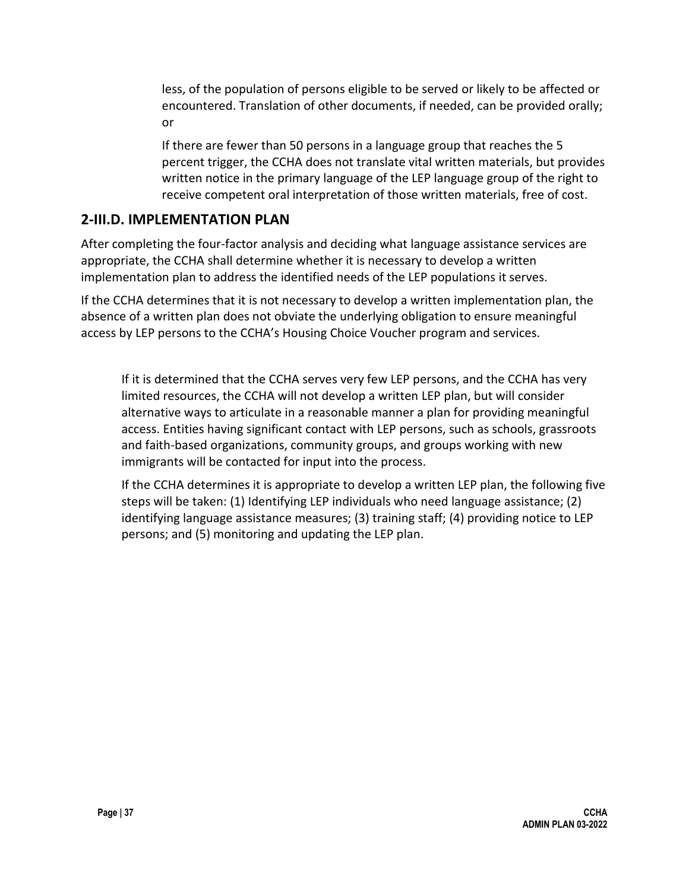less, of the population of persons eligible to be served or likely to be affected or encountered. Translation of other documents, if needed, can be provided orally; or

If there are fewer than 50 persons in a language group that reaches the 5 percent trigger, the CCHA does not translate vital written materials, but provides written notice in the primary language of the LEP language group of the right to receive competent oral interpretation of those written materials, free of cost.

#### **2-III.D. IMPLEMENTATION PLAN**

After completing the four-factor analysis and deciding what language assistance services are appropriate, the CCHA shall determine whether it is necessary to develop a written implementation plan to address the identified needs of the LEP populations it serves.

If the CCHA determines that it is not necessary to develop a written implementation plan, the absence of a written plan does not obviate the underlying obligation to ensure meaningful access by LEP persons to the CCHA's Housing Choice Voucher program and services.

If it is determined that the CCHA serves very few LEP persons, and the CCHA has very limited resources, the CCHA will not develop a written LEP plan, but will consider alternative ways to articulate in a reasonable manner a plan for providing meaningful access. Entities having significant contact with LEP persons, such as schools, grassroots and faith-based organizations, community groups, and groups working with new immigrants will be contacted for input into the process.

If the CCHA determines it is appropriate to develop a written LEP plan, the following five steps will be taken: (1) Identifying LEP individuals who need language assistance; (2) identifying language assistance measures; (3) training staff; (4) providing notice to LEP persons; and (5) monitoring and updating the LEP plan.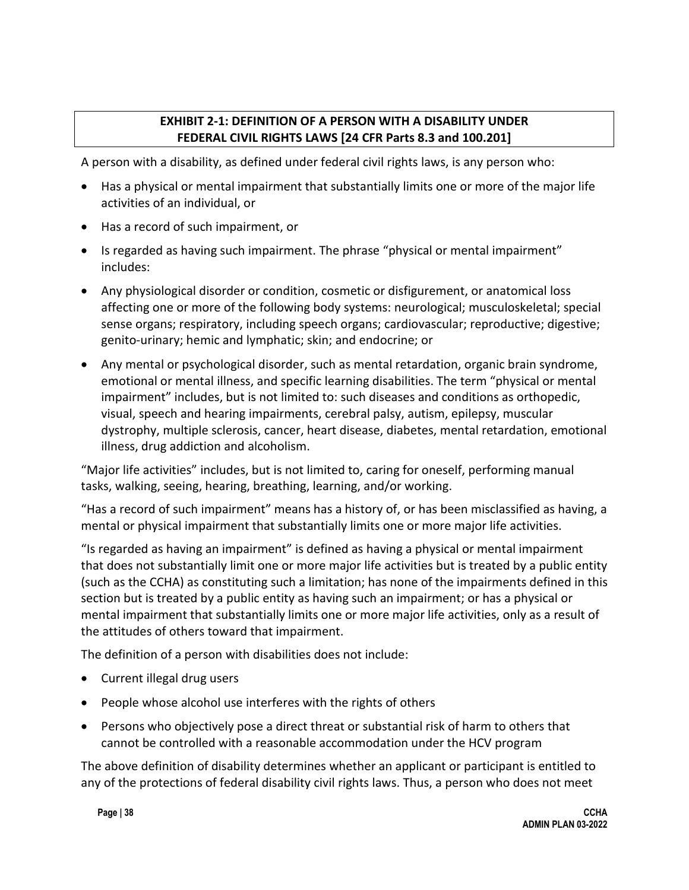#### **EXHIBIT 2-1: DEFINITION OF A PERSON WITH A DISABILITY UNDER FEDERAL CIVIL RIGHTS LAWS [24 CFR Parts 8.3 and 100.201]**

A person with a disability, as defined under federal civil rights laws, is any person who:

- Has a physical or mental impairment that substantially limits one or more of the major life activities of an individual, or
- Has a record of such impairment, or
- Is regarded as having such impairment. The phrase "physical or mental impairment" includes:
- Any physiological disorder or condition, cosmetic or disfigurement, or anatomical loss affecting one or more of the following body systems: neurological; musculoskeletal; special sense organs; respiratory, including speech organs; cardiovascular; reproductive; digestive; genito-urinary; hemic and lymphatic; skin; and endocrine; or
- Any mental or psychological disorder, such as mental retardation, organic brain syndrome, emotional or mental illness, and specific learning disabilities. The term "physical or mental impairment" includes, but is not limited to: such diseases and conditions as orthopedic, visual, speech and hearing impairments, cerebral palsy, autism, epilepsy, muscular dystrophy, multiple sclerosis, cancer, heart disease, diabetes, mental retardation, emotional illness, drug addiction and alcoholism.

"Major life activities" includes, but is not limited to, caring for oneself, performing manual tasks, walking, seeing, hearing, breathing, learning, and/or working.

"Has a record of such impairment" means has a history of, or has been misclassified as having, a mental or physical impairment that substantially limits one or more major life activities.

"Is regarded as having an impairment" is defined as having a physical or mental impairment that does not substantially limit one or more major life activities but is treated by a public entity (such as the CCHA) as constituting such a limitation; has none of the impairments defined in this section but is treated by a public entity as having such an impairment; or has a physical or mental impairment that substantially limits one or more major life activities, only as a result of the attitudes of others toward that impairment.

The definition of a person with disabilities does not include:

- Current illegal drug users
- People whose alcohol use interferes with the rights of others
- Persons who objectively pose a direct threat or substantial risk of harm to others that cannot be controlled with a reasonable accommodation under the HCV program

The above definition of disability determines whether an applicant or participant is entitled to any of the protections of federal disability civil rights laws. Thus, a person who does not meet